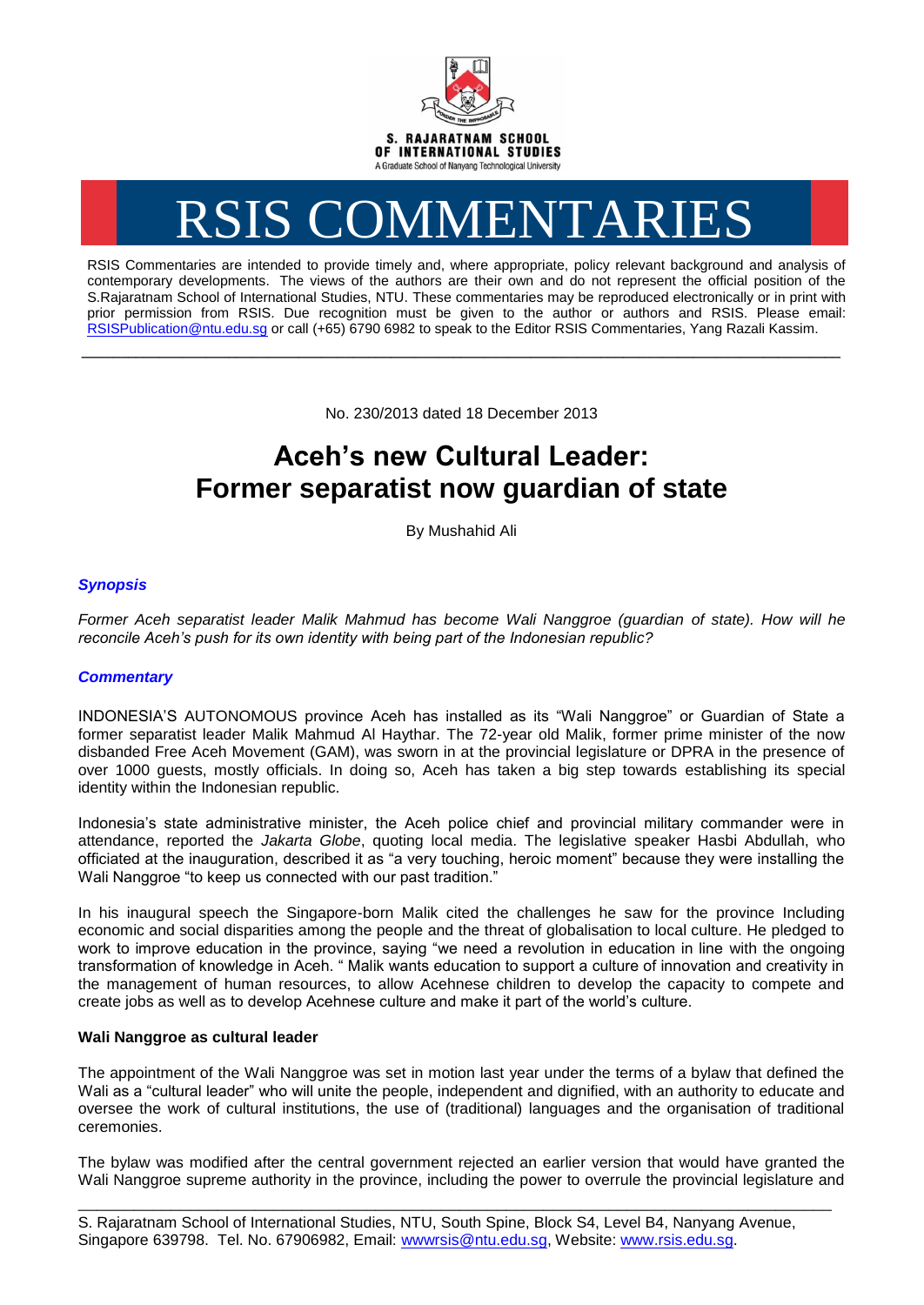

# RSIS COMMENTARIES

RSIS Commentaries are intended to provide timely and, where appropriate, policy relevant background and analysis of contemporary developments. The views of the authors are their own and do not represent the official position of the S.Rajaratnam School of International Studies, NTU. These commentaries may be reproduced electronically or in print with prior permission from RSIS. Due recognition must be given to the author or authors and RSIS. Please email: [RSISPublication@ntu.edu.sg](mailto:RSISPublication@ntu.edu.sg) or call (+65) 6790 6982 to speak to the Editor RSIS Commentaries, Yang Razali Kassim.

No. 230/2013 dated 18 December 2013

**\_\_\_\_\_\_\_\_\_\_\_\_\_\_\_\_\_\_\_\_\_\_\_\_\_\_\_\_\_\_\_\_\_\_\_\_\_\_\_\_\_\_\_\_\_\_\_\_\_\_\_\_\_\_\_\_\_\_\_\_\_\_\_\_\_\_\_\_\_\_\_\_\_\_\_\_\_\_\_\_\_\_\_\_\_\_\_\_\_\_\_\_\_\_\_\_\_\_**

# **Aceh's new Cultural Leader: Former separatist now guardian of state**

By Mushahid Ali

## *Synopsis*

*Former Aceh separatist leader Malik Mahmud has become Wali Nanggroe (guardian of state). How will he reconcile Aceh's push for its own identity with being part of the Indonesian republic?*

### *Commentary*

INDONESIA'S AUTONOMOUS province Aceh has installed as its "Wali Nanggroe" or Guardian of State a former separatist leader Malik Mahmud Al Haythar. The 72-year old Malik, former prime minister of the now disbanded Free Aceh Movement (GAM), was sworn in at the provincial legislature or DPRA in the presence of over 1000 guests, mostly officials. In doing so, Aceh has taken a big step towards establishing its special identity within the Indonesian republic.

Indonesia's state administrative minister, the Aceh police chief and provincial military commander were in attendance, reported the *Jakarta Globe*, quoting local media. The legislative speaker Hasbi Abdullah, who officiated at the inauguration, described it as "a very touching, heroic moment" because they were installing the Wali Nanggroe "to keep us connected with our past tradition."

In his inaugural speech the Singapore-born Malik cited the challenges he saw for the province Including economic and social disparities among the people and the threat of globalisation to local culture. He pledged to work to improve education in the province, saying "we need a revolution in education in line with the ongoing transformation of knowledge in Aceh. " Malik wants education to support a culture of innovation and creativity in the management of human resources, to allow Acehnese children to develop the capacity to compete and create jobs as well as to develop Acehnese culture and make it part of the world's culture.

#### **Wali Nanggroe as cultural leader**

The appointment of the Wali Nanggroe was set in motion last year under the terms of a bylaw that defined the Wali as a "cultural leader" who will unite the people, independent and dignified, with an authority to educate and oversee the work of cultural institutions, the use of (traditional) languages and the organisation of traditional ceremonies.

The bylaw was modified after the central government rejected an earlier version that would have granted the Wali Nanggroe supreme authority in the province, including the power to overrule the provincial legislature and

\_\_\_\_\_\_\_\_\_\_\_\_\_\_\_\_\_\_\_\_\_\_\_\_\_\_\_\_\_\_\_\_\_\_\_\_\_\_\_\_\_\_\_\_\_\_\_\_\_\_\_\_\_\_\_\_\_\_\_\_\_\_\_\_\_\_\_\_\_\_\_\_\_\_\_\_\_\_\_\_\_